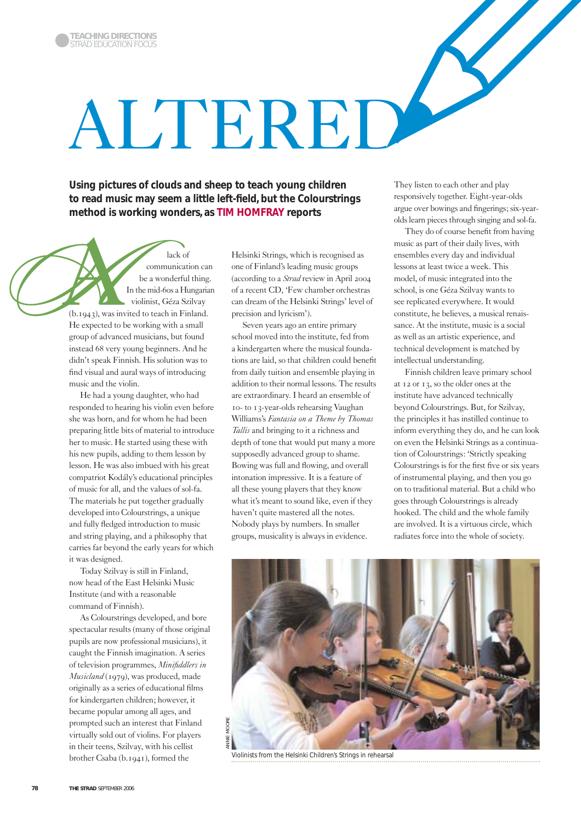# ALTERED

**Using pictures of clouds and sheep to teach young children to read music may seem a little left-field, but the Colourstrings method is working wonders, as TIM HOMFRAY reports**

lack of communication can be a wonderful thing. In the mid-60s a Hungarian violinist, Géza Szilvay (b.1943), was invited to teach in Finland. He expected to be working with a small group of advanced musicians, but found instead 68 very young beginners. And he didn't speak Finnish. His solution was to find visual and aural ways of introducing music and the violin.

He had a young daughter, who had responded to hearing his violin even before she was born, and for whom he had been preparing little bits of material to introduce her to music. He started using these with his new pupils, adding to them lesson by lesson. He was also imbued with his great compatriot Kodály's educational principles of music for all, and the values of sol-fa. The materials he put together gradually developed into Colourstrings, a unique and fully fledged introduction to music and string playing, and a philosophy that carries far beyond the early years for which it was designed.

Today Szilvay is still in Finland, now head of the East Helsinki Music Institute (and with a reasonable command of Finnish).

As Colourstrings developed, and bore spectacular results (many of those original pupils are now professional musicians), it caught the Finnish imagination. A series of television programmes, *Minifiddlers in Musicland* (1979), was produced, made originally as a series of educational films for kindergarten children; however, it became popular among all ages, and prompted such an interest that Finland virtually sold out of violins. For players in their teens, Szilvay, with his cellist brother Csaba (b.1941), formed the

Helsinki Strings, which is recognised as one of Finland's leading music groups (according to a *Strad* review in April 2004 of a recent CD, 'Few chamber orchestras can dream of the Helsinki Strings' level of precision and lyricism').

Seven years ago an entire primary school moved into the institute, fed from a kindergarten where the musical foundations are laid, so that children could benefit from daily tuition and ensemble playing in addition to their normal lessons. The results are extraordinary. I heard an ensemble of 10- to 13-year-olds rehearsing Vaughan Williams's *Fantasia on a Theme by Thomas Tallis* and bringing to it a richness and depth of tone that would put many a more supposedly advanced group to shame. Bowing was full and flowing, and overall intonation impressive. It is a feature of all these young players that they know what it's meant to sound like, even if they haven't quite mastered all the notes. Nobody plays by numbers. In smaller groups, musicality is always in evidence.

They listen to each other and play responsively together. Eight-year-olds argue over bowings and fingerings; six-yearolds learn pieces through singing and sol-fa.

They do of course benefit from having music as part of their daily lives, with ensembles every day and individual lessons at least twice a week. This model, of music integrated into the school, is one Géza Szilvay wants to see replicated everywhere. It would constitute, he believes, a musical renaissance. At the institute, music is a social as well as an artistic experience, and technical development is matched by intellectual understanding.

Finnish children leave primary school at 12 or 13, so the older ones at the institute have advanced technically beyond Colourstrings. But, for Szilvay, the principles it has instilled continue to inform everything they do, and he can look on even the Helsinki Strings as a continuation of Colourstrings: 'Strictly speaking Colourstrings is for the first five or six years of instrumental playing, and then you go on to traditional material. But a child who goes through Colourstrings is already hooked. The child and the whole family are involved. It is a virtuous circle, which radiates force into the whole of society.



Violinists from the Helsinki Children's Strings in rehearsal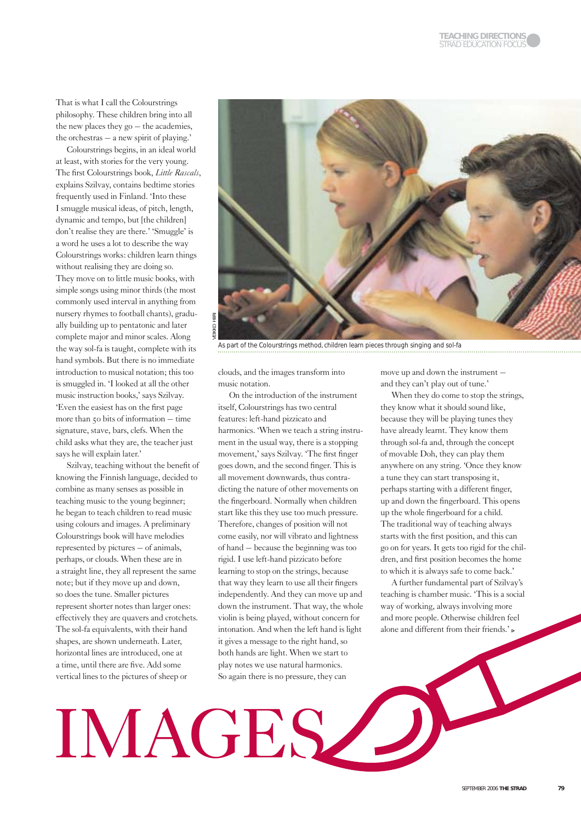That is what I call the Colourstrings philosophy. These children bring into all the new places they go – the academies, the orchestras – a new spirit of playing.'

Colourstrings begins, in an ideal world at least, with stories for the very young. The first Colourstrings book, *Little Rascals*, explains Szilvay, contains bedtime stories frequently used in Finland. 'Into these I smuggle musical ideas, of pitch, length, dynamic and tempo, but [the children] don't realise they are there.' 'Smuggle' is a word he uses a lot to describe the way Colourstrings works: children learn things without realising they are doing so. They move on to little music books, with simple songs using minor thirds (the most commonly used interval in anything from nursery rhymes to football chants), gradually building up to pentatonic and later complete major and minor scales. Along the way sol-fa is taught, complete with its hand symbols. But there is no immediate introduction to musical notation; this too is smuggled in. 'I looked at all the other music instruction books,' says Szilvay. 'Even the easiest has on the first page more than 50 bits of information – time signature, stave, bars, clefs. When the child asks what they are, the teacher just says he will explain later.'

Szilvay, teaching without the benefit of knowing the Finnish language, decided to combine as many senses as possible in teaching music to the young beginner; he began to teach children to read music using colours and images. A preliminary Colourstrings book will have melodies represented by pictures – of animals, perhaps, or clouds. When these are in a straight line, they all represent the same note; but if they move up and down, so does the tune. Smaller pictures represent shorter notes than larger ones: effectively they are quavers and crotchets. The sol-fa equivalents, with their hand shapes, are shown underneath. Later, horizontal lines are introduced, one at a time, until there are five. Add some vertical lines to the pictures of sheep or



As part of the Colourstrings method, children learn pieces through singing and sol-fa

clouds, and the images transform into music notation.

On the introduction of the instrument itself, Colourstrings has two central features: left-hand pizzicato and harmonics. 'When we teach a string instrument in the usual way, there is a stopping movement,' says Szilvay. 'The first finger goes down, and the second finger. This is all movement downwards, thus contradicting the nature of other movements on the fingerboard. Normally when children start like this they use too much pressure. Therefore, changes of position will not come easily, nor will vibrato and lightness of hand – because the beginning was too rigid. I use left-hand pizzicato before learning to stop on the strings, because that way they learn to use all their fingers independently. And they can move up and down the instrument. That way, the whole violin is being played, without concern for intonation. And when the left hand is light it gives a message to the right hand, so both hands are light. When we start to play notes we use natural harmonics. So again there is no pressure, they can

IMAGES

move up and down the instrument – and they can't play out of tune.'

When they do come to stop the strings, they know what it should sound like, because they will be playing tunes they have already learnt. They know them through sol-fa and, through the concept of movable Doh, they can play them anywhere on any string. 'Once they know a tune they can start transposing it, perhaps starting with a different finger, up and down the fingerboard. This opens up the whole fingerboard for a child. The traditional way of teaching always starts with the first position, and this can go on for years. It gets too rigid for the children, and first position becomes the home to which it is always safe to come back.'

A further fundamental part of Szilvay's teaching is chamber music. 'This is a social way of working, always involving more and more people. Otherwise children feel alone and different from their friends.'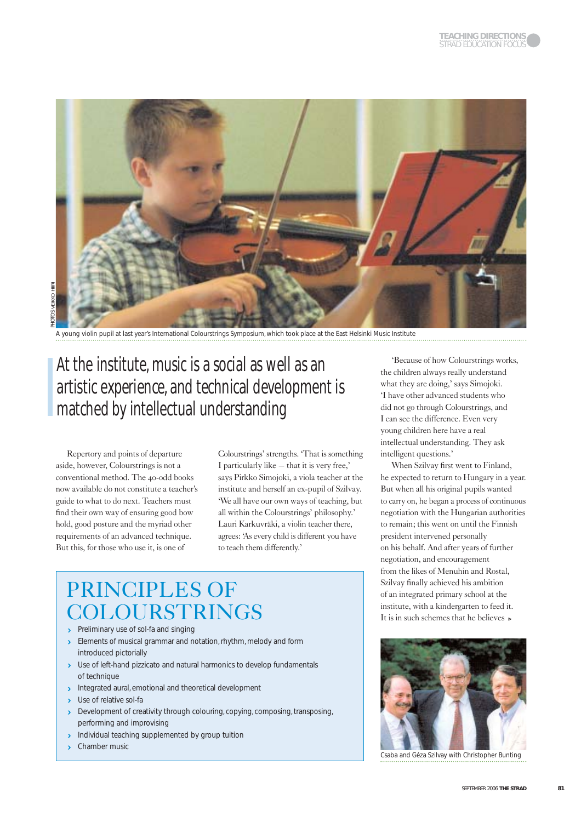

A young violin pupil at last year's International Colourstrings Symposium, which took place at the East Helsinki Music Institute

# At the institute, music is a social as well as an artistic experience, and technical development is matched by intellectual understanding

Repertory and points of departure aside, however, Colourstrings is not a conventional method. The 40-odd books now available do not constitute a teacher's guide to what to do next. Teachers must find their own way of ensuring good bow hold, good posture and the myriad other requirements of an advanced technique. But this, for those who use it, is one of

Colourstrings' strengths. 'That is something I particularly like – that it is very free,' says Pirkko Simojoki, a viola teacher at the institute and herself an ex-pupil of Szilvay. 'We all have our own ways of teaching, but all within the Colourstrings' philosophy.' Lauri Karkuvräki, a violin teacher there, agrees: 'As every child is different you have to teach them differently.'

# PRINCIPLES OF COLOURSTRINGS

- Preliminary use of sol-fa and singing
- Elements of musical grammar and notation, rhythm, melody and form introduced pictorially
- > Use of left-hand pizzicato and natural harmonics to develop fundamentals of technique
- Integrated aural, emotional and theoretical development
- > Use of relative sol-fa
- Development of creativity through colouring, copying, composing, transposing, performing and improvising
- Individual teaching supplemented by group tuition
- **Chamber music**

'Because of how Colourstrings works, the children always really understand what they are doing,' says Simojoki. 'I have other advanced students who did not go through Colourstrings, and I can see the difference. Even very young children here have a real intellectual understanding. They ask intelligent questions.'

When Szilvay first went to Finland, he expected to return to Hungary in a year. But when all his original pupils wanted to carry on, he began a process of continuous negotiation with the Hungarian authorities to remain; this went on until the Finnish president intervened personally on his behalf. And after years of further negotiation, and encouragement from the likes of Menuhin and Rostal, Szilvay finally achieved his ambition of an integrated primary school at the institute, with a kindergarten to feed it. It is in such schemes that he believes  $\triangleright$ 



Csaba and Géza Szilvay with Christopher Bunting